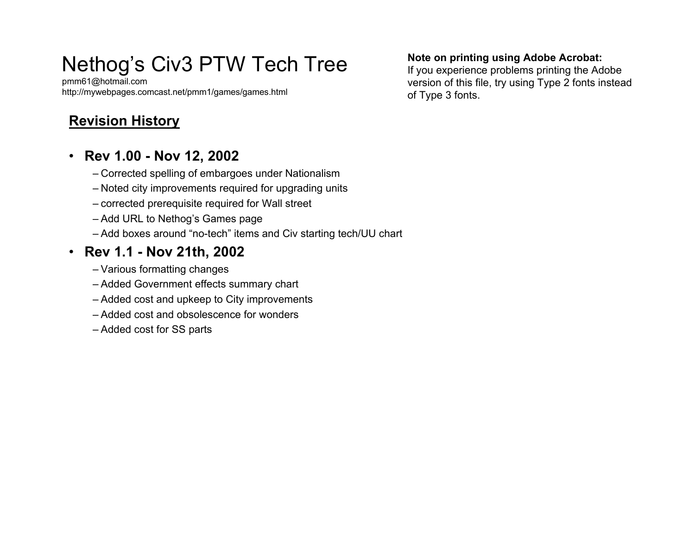# Nethog's Civ3 PTW Tech Tree

pmm61@h otmail.co m http://mywebpages.comcast.net/pmm1/games/games.html

# **Revision History**

### • **Rev 1.00 - Nov 12, 2002**

- Corrected spelling of embargoes under N ationalism
- Noted city improvements required for upgrading units
- corrected prerequisite required f or W all street
- Add URL to Nethog's Games page
- Add boxes around "no-tech" items and Civ starting tech/UU chart

## • **Rev 1.1 - Nov 21th, 2002**

- Various formatting changes
- Added Government effects summary chart
- Added cost and upkeep to City improvements
- –Added cost and obsolescence for wonders
- Added cost for SS parts

#### **Note on printing usi ng Adobe Acrobat:**

If you experience problems printing the Adobe version of this file, try using Type 2 fonts instead of Type 3 fonts.